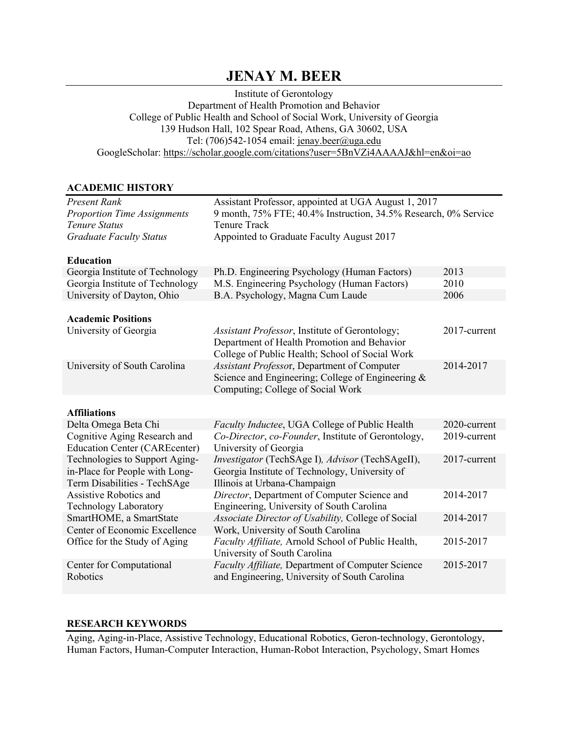# **JENAY M. BEER**

Institute of Gerontology Department of Health Promotion and Behavior College of Public Health and School of Social Work, University of Georgia 139 Hudson Hall, 102 Spear Road, Athens, GA 30602, USA Tel:  $(706)542 - 1054$  email: jenay.beer@uga.edu GoogleScholar: https://scholar.google.com/citations?user=5BnVZi4AAAAJ&hl=en&oi=ao

### **ACADEMIC HISTORY**

| Present Rank                                                                                     | Assistant Professor, appointed at UGA August 1, 2017                                                                                             |              |  |  |
|--------------------------------------------------------------------------------------------------|--------------------------------------------------------------------------------------------------------------------------------------------------|--------------|--|--|
| <b>Proportion Time Assignments</b>                                                               | 9 month, 75% FTE; 40.4% Instruction, 34.5% Research, 0% Service                                                                                  |              |  |  |
| <b>Tenure Status</b>                                                                             | <b>Tenure Track</b>                                                                                                                              |              |  |  |
| <b>Graduate Faculty Status</b>                                                                   | Appointed to Graduate Faculty August 2017                                                                                                        |              |  |  |
| <b>Education</b>                                                                                 |                                                                                                                                                  |              |  |  |
| Georgia Institute of Technology                                                                  | Ph.D. Engineering Psychology (Human Factors)                                                                                                     | 2013         |  |  |
| Georgia Institute of Technology                                                                  | M.S. Engineering Psychology (Human Factors)                                                                                                      | 2010         |  |  |
| University of Dayton, Ohio                                                                       | B.A. Psychology, Magna Cum Laude                                                                                                                 | 2006         |  |  |
| <b>Academic Positions</b>                                                                        |                                                                                                                                                  |              |  |  |
| University of Georgia                                                                            | Assistant Professor, Institute of Gerontology;<br>Department of Health Promotion and Behavior<br>College of Public Health; School of Social Work | 2017-current |  |  |
| University of South Carolina                                                                     | Assistant Professor, Department of Computer<br>Science and Engineering; College of Engineering &<br>Computing; College of Social Work            | 2014-2017    |  |  |
| <b>Affiliations</b>                                                                              |                                                                                                                                                  |              |  |  |
| Delta Omega Beta Chi                                                                             | Faculty Inductee, UGA College of Public Health                                                                                                   | 2020-current |  |  |
| Cognitive Aging Research and                                                                     | Co-Director, co-Founder, Institute of Gerontology,                                                                                               | 2019-current |  |  |
| <b>Education Center (CAREcenter)</b>                                                             | University of Georgia                                                                                                                            |              |  |  |
| Technologies to Support Aging-<br>in-Place for People with Long-<br>Term Disabilities - TechSAge | Investigator (TechSAge I), Advisor (TechSAgeII),<br>Georgia Institute of Technology, University of<br>Illinois at Urbana-Champaign               | 2017-current |  |  |
| Assistive Robotics and<br><b>Technology Laboratory</b>                                           | Director, Department of Computer Science and<br>Engineering, University of South Carolina                                                        | 2014-2017    |  |  |
| SmartHOME, a SmartState<br>Center of Economic Excellence                                         | Associate Director of Usability, College of Social<br>Work, University of South Carolina                                                         | 2014-2017    |  |  |
| Office for the Study of Aging                                                                    | Faculty Affiliate, Arnold School of Public Health,<br>University of South Carolina                                                               | 2015-2017    |  |  |
| Center for Computational<br>Robotics                                                             | Faculty Affiliate, Department of Computer Science<br>and Engineering, University of South Carolina                                               | 2015-2017    |  |  |

#### **RESEARCH KEYWORDS**

Aging, Aging-in-Place, Assistive Technology, Educational Robotics, Geron-technology, Gerontology, Human Factors, Human-Computer Interaction, Human-Robot Interaction, Psychology, Smart Homes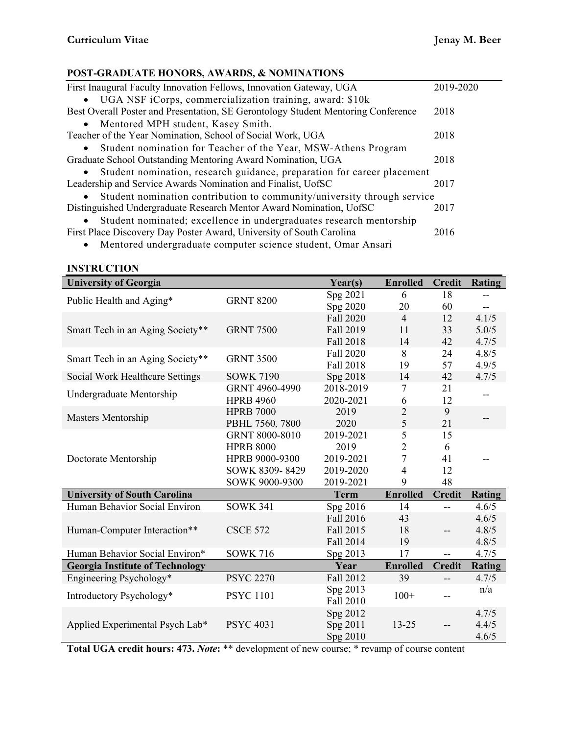L.

# **POST-GRADUATE HONORS, AWARDS, & NOMINATIONS**

| First Inaugural Faculty Innovation Fellows, Innovation Gateway, UGA               | 2019-2020 |
|-----------------------------------------------------------------------------------|-----------|
| • UGA NSF iCorps, commercialization training, award: \$10k                        |           |
| Best Overall Poster and Presentation, SE Gerontology Student Mentoring Conference | 2018      |
| Mentored MPH student, Kasey Smith.<br>$\bullet$                                   |           |
| Teacher of the Year Nomination, School of Social Work, UGA                        | 2018      |
| Student nomination for Teacher of the Year, MSW-Athens Program<br>$\bullet$       |           |
| Graduate School Outstanding Mentoring Award Nomination, UGA                       | 2018      |
| • Student nomination, research guidance, preparation for career placement         |           |
| Leadership and Service Awards Nomination and Finalist, UofSC                      | 2017      |
| Student nomination contribution to community/university through service           |           |
| Distinguished Undergraduate Research Mentor Award Nomination, UofSC               | 2017      |
| Student nominated; excellence in undergraduates research mentorship<br>$\bullet$  |           |
| First Place Discovery Day Poster Award, University of South Carolina              | 2016      |
| Mentored undergraduate computer science student Omer Ansari                       |           |

• Mentored undergraduate computer science student, Omar Ansari

# **INSTRUCTION**

| <b>University of Georgia</b>           |                  | Year(s)               | <b>Enrolled</b> | <b>Credit</b>  | <b>Rating</b> |
|----------------------------------------|------------------|-----------------------|-----------------|----------------|---------------|
|                                        | <b>GRNT 8200</b> | Spg 2021              | 6               | 18             |               |
| Public Health and Aging*               |                  | Spg 2020              | 20              | 60             | $-$           |
|                                        |                  | Fall 2020             | $\overline{4}$  | 12             | 4.1/5         |
| Smart Tech in an Aging Society**       | <b>GRNT 7500</b> | Fall 2019             | 11              | 33             | 5.0/5         |
|                                        |                  | Fall 2018             | 14              | 42             | 4.7/5         |
| Smart Tech in an Aging Society**       | <b>GRNT 3500</b> | Fall 2020             | 8               | 24             | 4.8/5         |
|                                        |                  | Fall 2018             | 19              | 57             | 4.9/5         |
| Social Work Healthcare Settings        | <b>SOWK 7190</b> | Spg 2018              | 14              | 42             | 4.7/5         |
| Undergraduate Mentorship               | GRNT 4960-4990   | 2018-2019             | 7               | 21             | --            |
|                                        | <b>HPRB 4960</b> | 2020-2021             | 6               | 12             |               |
| Masters Mentorship                     | <b>HPRB 7000</b> | 2019                  | $\overline{2}$  | 9              |               |
|                                        | PBHL 7560, 7800  | 2020                  | 5               | 21             |               |
|                                        | GRNT 8000-8010   | 2019-2021             | 5               | 15             |               |
|                                        | <b>HPRB 8000</b> | 2019                  | $\overline{2}$  | 6              |               |
| Doctorate Mentorship                   | HPRB 9000-9300   | 2019-2021             | $\overline{7}$  | 41             | --            |
|                                        | SOWK 8309-8429   | 2019-2020             | 4               | 12             |               |
|                                        | SOWK 9000-9300   | 2019-2021             | 9               | 48             |               |
| <b>University of South Carolina</b>    |                  | <b>Term</b>           | <b>Enrolled</b> | <b>Credit</b>  | <b>Rating</b> |
| Human Behavior Social Environ          | <b>SOWK 341</b>  | Spg 2016              | 14              | $-$            | 4.6/5         |
|                                        |                  | Fall 2016             | 43              |                | 4.6/5         |
| Human-Computer Interaction**           | <b>CSCE 572</b>  | Fall 2015             | 18              | $-$            | 4.8/5         |
|                                        |                  | Fall 2014             | 19              |                | 4.8/5         |
| Human Behavior Social Environ*         | <b>SOWK 716</b>  | Spg 2013              | 17              | $\overline{a}$ | 4.7/5         |
| <b>Georgia Institute of Technology</b> |                  | Year                  | <b>Enrolled</b> | <b>Credit</b>  | <b>Rating</b> |
| Engineering Psychology*                | <b>PSYC 2270</b> | Fall 2012             | 39              | $-$            | 4.7/5         |
| Introductory Psychology*               | <b>PSYC 1101</b> | Spg 2013<br>Fall 2010 | $100+$          |                | n/a           |
|                                        |                  | Spg 2012              |                 |                | 4.7/5         |
| Applied Experimental Psych Lab*        | <b>PSYC 4031</b> | Spg 2011              | $13 - 25$       |                | 4.4/5         |
|                                        |                  | Spg 2010              |                 |                | 4.6/5         |

**Total UGA credit hours: 473.** *Note***:** \*\* development of new course; \* revamp of course content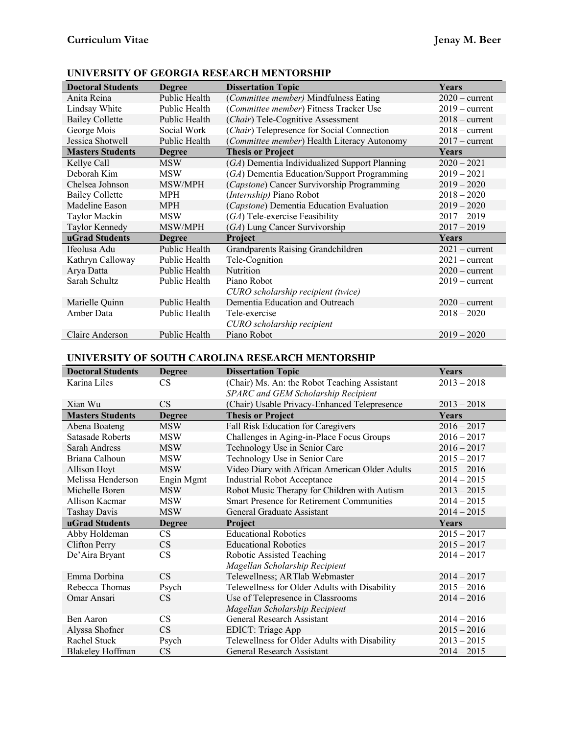| <b>Doctoral Students</b> | <b>Degree</b> | <b>Dissertation Topic</b>                     | Years            |
|--------------------------|---------------|-----------------------------------------------|------------------|
| Anita Reina              | Public Health | (Committee member) Mindfulness Eating         | $2020 - current$ |
| Lindsay White            | Public Health | (Committee member) Fitness Tracker Use        | $2019$ – current |
| <b>Bailey Collette</b>   | Public Health | (Chair) Tele-Cognitive Assessment             | $2018 - current$ |
| George Mois              | Social Work   | (Chair) Telepresence for Social Connection    | $2018 - current$ |
| Jessica Shotwell         | Public Health | (Committee member) Health Literacy Autonomy   | $2017 - current$ |
| <b>Masters Students</b>  | <b>Degree</b> | <b>Thesis or Project</b>                      | Years            |
| Kellye Call              | <b>MSW</b>    | (GA) Dementia Individualized Support Planning | $2020 - 2021$    |
| Deborah Kim              | <b>MSW</b>    | (GA) Dementia Education/Support Programming   | $2019 - 2021$    |
| Chelsea Johnson          | MSW/MPH       | (Capstone) Cancer Survivorship Programming    | $2019 - 2020$    |
| <b>Bailey Collette</b>   | <b>MPH</b>    | (Internship) Piano Robot                      | $2018 - 2020$    |
| Madeline Eason           | <b>MPH</b>    | (Capstone) Dementia Education Evaluation      | $2019 - 2020$    |
| Taylor Mackin            | <b>MSW</b>    | (GA) Tele-exercise Feasibility                | $2017 - 2019$    |
| Taylor Kennedy           | MSW/MPH       | (GA) Lung Cancer Survivorship                 | $2017 - 2019$    |
| uGrad Students           | <b>Degree</b> | Project                                       | Years            |
| Ifeolusa Adu             | Public Health | Grandparents Raising Grandchildren            | $2021 - current$ |
| Kathryn Calloway         | Public Health | Tele-Cognition                                | $2021 - current$ |
| Arya Datta               | Public Health | <b>Nutrition</b>                              | $2020$ – current |
| Sarah Schultz            | Public Health | Piano Robot                                   | $2019 - current$ |
|                          |               | CURO scholarship recipient (twice)            |                  |
| Marielle Quinn           | Public Health | Dementia Education and Outreach               | $2020$ – current |
| Amber Data               | Public Health | Tele-exercise                                 | $2018 - 2020$    |
|                          |               | CURO scholarship recipient                    |                  |
| Claire Anderson          | Public Health | Piano Robot                                   | $2019 - 2020$    |

# **UNIVERSITY OF GEORGIA RESEARCH MENTORSHIP**

# **UNIVERSITY OF SOUTH CAROLINA RESEARCH MENTORSHIP**

| <b>Doctoral Students</b> | <b>Degree</b> | <b>Dissertation Topic</b>                        | <b>Years</b>  |
|--------------------------|---------------|--------------------------------------------------|---------------|
| Karina Liles             | CS            | (Chair) Ms. An: the Robot Teaching Assistant     | $2013 - 2018$ |
|                          |               | SPARC and GEM Scholarship Recipient              |               |
| Xian Wu                  | <b>CS</b>     | (Chair) Usable Privacy-Enhanced Telepresence     | $2013 - 2018$ |
| <b>Masters Students</b>  | <b>Degree</b> | <b>Thesis or Project</b>                         | <b>Years</b>  |
| Abena Boateng            | <b>MSW</b>    | Fall Risk Education for Caregivers               | $2016 - 2017$ |
| Satasade Roberts         | <b>MSW</b>    | Challenges in Aging-in-Place Focus Groups        | $2016 - 2017$ |
| Sarah Andress            | <b>MSW</b>    | Technology Use in Senior Care                    | $2016 - 2017$ |
| Briana Calhoun           | <b>MSW</b>    | Technology Use in Senior Care                    | $2015 - 2017$ |
| Allison Hoyt             | <b>MSW</b>    | Video Diary with African American Older Adults   | $2015 - 2016$ |
| Melissa Henderson        | Engin Mgmt    | <b>Industrial Robot Acceptance</b>               | $2014 - 2015$ |
| Michelle Boren           | <b>MSW</b>    | Robot Music Therapy for Children with Autism     | $2013 - 2015$ |
| Allison Kacmar           | <b>MSW</b>    | <b>Smart Presence for Retirement Communities</b> | $2014 - 2015$ |
| <b>Tashay Davis</b>      | <b>MSW</b>    | General Graduate Assistant                       | $2014 - 2015$ |
| uGrad Students           | <b>Degree</b> | Project                                          | <b>Years</b>  |
| Abby Holdeman            | CS            | <b>Educational Robotics</b>                      | $2015 - 2017$ |
| <b>Clifton Perry</b>     | <b>CS</b>     | <b>Educational Robotics</b>                      | $2015 - 2017$ |
| De'Aira Bryant           | <b>CS</b>     | Robotic Assisted Teaching                        | $2014 - 2017$ |
|                          |               | Magellan Scholarship Recipient                   |               |
| Emma Dorbina             | CS            | Telewellness; ARTlab Webmaster                   | $2014 - 2017$ |
| Rebecca Thomas           | Psych         | Telewellness for Older Adults with Disability    | $2015 - 2016$ |
| Omar Ansari              | <b>CS</b>     | Use of Telepresence in Classrooms                | $2014 - 2016$ |
|                          |               | Magellan Scholarship Recipient                   |               |
| Ben Aaron                | <b>CS</b>     | General Research Assistant                       | $2014 - 2016$ |
| Alyssa Shofner           | <b>CS</b>     | <b>EDICT: Triage App</b>                         | $2015 - 2016$ |
| Rachel Stuck             | Psych         | Telewellness for Older Adults with Disability    | $2013 - 2015$ |
| <b>Blakeley Hoffman</b>  | <b>CS</b>     | General Research Assistant                       | $2014 - 2015$ |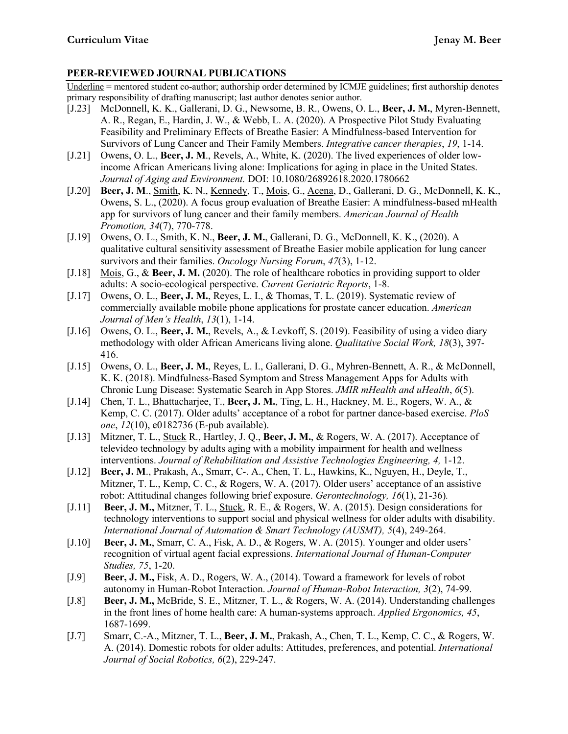# **PEER-REVIEWED JOURNAL PUBLICATIONS**

Underline = mentored student co-author; authorship order determined by ICMJE guidelines; first authorship denotes primary responsibility of drafting manuscript; last author denotes senior author.

- [J.23] McDonnell, K. K., Gallerani, D. G., Newsome, B. R., Owens, O. L., **Beer, J. M.**, Myren-Bennett, A. R., Regan, E., Hardin, J. W., & Webb, L. A. (2020). A Prospective Pilot Study Evaluating Feasibility and Preliminary Effects of Breathe Easier: A Mindfulness-based Intervention for Survivors of Lung Cancer and Their Family Members. *Integrative cancer therapies*, *19*, 1-14.
- [J.21] Owens, O. L., **Beer, J. M**., Revels, A., White, K. (2020). The lived experiences of older lowincome African Americans living alone: Implications for aging in place in the United States. *Journal of Aging and Environment.* DOI: 10.1080/26892618.2020.1780662
- [J.20] **Beer, J. M**., Smith, K. N., Kennedy, T., Mois, G., Acena, D., Gallerani, D. G., McDonnell, K. K., Owens, S. L., (2020). A focus group evaluation of Breathe Easier: A mindfulness-based mHealth app for survivors of lung cancer and their family members. *American Journal of Health Promotion, 34*(7), 770-778.
- [J.19] Owens, O. L., Smith, K. N., **Beer, J. M.**, Gallerani, D. G., McDonnell, K. K., (2020). A qualitative cultural sensitivity assessment of Breathe Easier mobile application for lung cancer survivors and their families. *Oncology Nursing Forum*, *47*(3), 1-12.
- [J.18] Mois, G., & **Beer, J. M.** (2020). The role of healthcare robotics in providing support to older adults: A socio-ecological perspective. *Current Geriatric Reports*, 1-8.
- [J.17] Owens, O. L., **Beer, J. M.**, Reyes, L. I., & Thomas, T. L. (2019). Systematic review of commercially available mobile phone applications for prostate cancer education. *American Journal of Men's Health*, *13*(1), 1-14.
- [J.16] Owens, O. L., **Beer, J. M.**, Revels, A., & Levkoff, S. (2019). Feasibility of using a video diary methodology with older African Americans living alone. *Qualitative Social Work, 18*(3), 397- 416.
- [J.15] Owens, O. L., **Beer, J. M.**, Reyes, L. I., Gallerani, D. G., Myhren-Bennett, A. R., & McDonnell, K. K. (2018). Mindfulness-Based Symptom and Stress Management Apps for Adults with Chronic Lung Disease: Systematic Search in App Stores. *JMIR mHealth and uHealth*, *6*(5).
- [J.14] Chen, T. L., Bhattacharjee, T., **Beer, J. M.**, Ting, L. H., Hackney, M. E., Rogers, W. A., & Kemp, C. C. (2017). Older adults' acceptance of a robot for partner dance-based exercise. *PloS one*, *12*(10), e0182736 (E-pub available).
- [J.13] Mitzner, T. L., Stuck R., Hartley, J. Q., **Beer, J. M.**, & Rogers, W. A. (2017). Acceptance of televideo technology by adults aging with a mobility impairment for health and wellness interventions. *Journal of Rehabilitation and Assistive Technologies Engineering, 4,* 1-12.
- [J.12] **Beer, J. M**., Prakash, A., Smarr, C-. A., Chen, T. L., Hawkins, K., Nguyen, H., Deyle, T., Mitzner, T. L., Kemp, C. C., & Rogers, W. A. (2017). Older users' acceptance of an assistive robot: Attitudinal changes following brief exposure. *Gerontechnology, 16*(1), 21-36)*.*
- [J.11] **Beer, J. M.,** Mitzner, T. L., Stuck, R. E., & Rogers, W. A. (2015). Design considerations for technology interventions to support social and physical wellness for older adults with disability. *International Journal of Automation & Smart Technology (AUSMT), 5*(4), 249-264.
- [J.10] **Beer, J. M.**, Smarr, C. A., Fisk, A. D., & Rogers, W. A. (2015). Younger and older users' recognition of virtual agent facial expressions. *International Journal of Human-Computer Studies, 75*, 1-20.
- [J.9] **Beer, J. M.,** Fisk, A. D., Rogers, W. A., (2014). Toward a framework for levels of robot autonomy in Human-Robot Interaction. *Journal of Human-Robot Interaction, 3*(2), 74-99.
- [J.8] **Beer, J. M.,** McBride, S. E., Mitzner, T. L., & Rogers, W. A. (2014). Understanding challenges in the front lines of home health care: A human-systems approach. *Applied Ergonomics, 45*, 1687-1699.
- [J.7] Smarr, C.-A., Mitzner, T. L., **Beer, J. M.**, Prakash, A., Chen, T. L., Kemp, C. C., & Rogers, W. A. (2014). Domestic robots for older adults: Attitudes, preferences, and potential. *International Journal of Social Robotics, 6*(2), 229-247.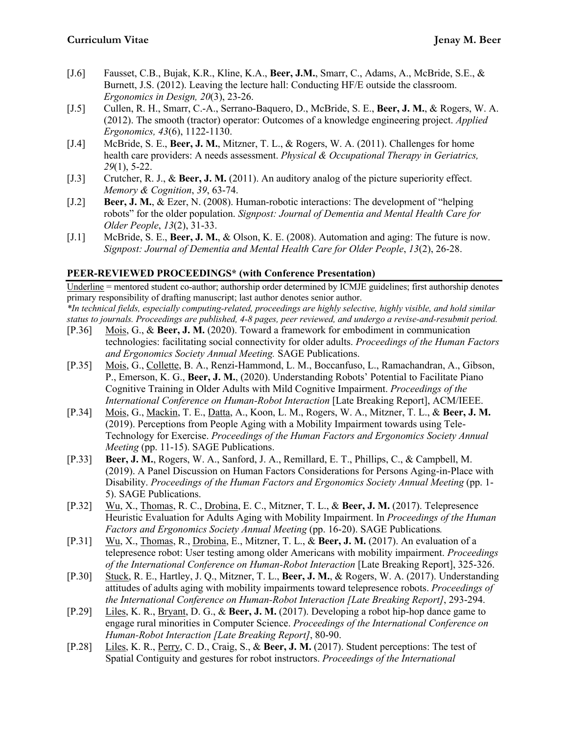- [J.6] Fausset, C.B., Bujak, K.R., Kline, K.A., **Beer, J.M.**, Smarr, C., Adams, A., McBride, S.E., & Burnett, J.S. (2012). Leaving the lecture hall: Conducting HF/E outside the classroom. *Ergonomics in Design, 20*(3), 23-26.
- [J.5] Cullen, R. H., Smarr, C.-A., Serrano-Baquero, D., McBride, S. E., **Beer, J. M.**, & Rogers, W. A. (2012). The smooth (tractor) operator: Outcomes of a knowledge engineering project. *Applied Ergonomics, 43*(6), 1122-1130.
- [J.4] McBride, S. E., **Beer, J. M.**, Mitzner, T. L., & Rogers, W. A. (2011). Challenges for home health care providers: A needs assessment. *Physical & Occupational Therapy in Geriatrics, 29*(1), 5-22.
- [J.3] Crutcher, R. J., & **Beer, J. M.** (2011). An auditory analog of the picture superiority effect. *Memory & Cognition*, *39*, 63-74.
- [J.2] **Beer, J. M.**, & Ezer, N. (2008). Human-robotic interactions: The development of "helping robots" for the older population. *Signpost: Journal of Dementia and Mental Health Care for Older People*, *13*(2), 31-33.
- [J.1] McBride, S. E., **Beer, J. M.**, & Olson, K. E. (2008). Automation and aging: The future is now. *Signpost: Journal of Dementia and Mental Health Care for Older People*, *13*(2), 26-28.

# **PEER-REVIEWED PROCEEDINGS\* (with Conference Presentation)**

Underline = mentored student co-author; authorship order determined by ICMJE guidelines; first authorship denotes primary responsibility of drafting manuscript; last author denotes senior author. *\*In technical fields, especially computing-related, proceedings are highly selective, highly visible, and hold similar*

*status to journals. Proceedings are published, 4-8 pages, peer reviewed, and undergo a revise-and-resubmit period.*

- [P.36] Mois, G., & **Beer, J. M.** (2020). Toward a framework for embodiment in communication technologies: facilitating social connectivity for older adults. *Proceedings of the Human Factors and Ergonomics Society Annual Meeting.* SAGE Publications.
- [P.35] Mois, G., Collette, B. A., Renzi-Hammond, L. M., Boccanfuso, L., Ramachandran, A., Gibson, P., Emerson, K. G., **Beer, J. M.**, (2020). Understanding Robots' Potential to Facilitate Piano Cognitive Training in Older Adults with Mild Cognitive Impairment. *Proceedings of the International Conference on Human-Robot Interaction* [Late Breaking Report], ACM/IEEE.
- [P.34] Mois, G., Mackin, T. E., Datta, A., Koon, L. M., Rogers, W. A., Mitzner, T. L., & **Beer, J. M.** (2019). Perceptions from People Aging with a Mobility Impairment towards using Tele-Technology for Exercise. *Proceedings of the Human Factors and Ergonomics Society Annual Meeting* (pp. 11-15). SAGE Publications.
- [P.33] **Beer, J. M.**, Rogers, W. A., Sanford, J. A., Remillard, E. T., Phillips, C., & Campbell, M. (2019). A Panel Discussion on Human Factors Considerations for Persons Aging-in-Place with Disability. *Proceedings of the Human Factors and Ergonomics Society Annual Meeting* (pp. 1- 5). SAGE Publications.
- [P.32] Wu, X., Thomas, R. C., Drobina, E. C., Mitzner, T. L., & **Beer, J. M.** (2017). Telepresence Heuristic Evaluation for Adults Aging with Mobility Impairment. In *Proceedings of the Human Factors and Ergonomics Society Annual Meeting (pp. 16-20). SAGE Publications.*
- [P.31] Wu, X., Thomas, R., Drobina, E., Mitzner, T. L., & **Beer, J. M.** (2017). An evaluation of a telepresence robot: User testing among older Americans with mobility impairment. *Proceedings of the International Conference on Human-Robot Interaction* [Late Breaking Report], 325-326.
- [P.30] Stuck, R. E., Hartley, J. Q., Mitzner, T. L., **Beer, J. M.**, & Rogers, W. A. (2017). Understanding attitudes of adults aging with mobility impairments toward telepresence robots. *Proceedings of the International Conference on Human-Robot Interaction [Late Breaking Report]*, 293-294.
- [P.29] Liles, K. R., Bryant, D. G., & **Beer, J. M.** (2017). Developing a robot hip-hop dance game to engage rural minorities in Computer Science. *Proceedings of the International Conference on Human-Robot Interaction [Late Breaking Report]*, 80-90.
- [P.28] Liles, K. R., Perry, C. D., Craig, S., & **Beer, J. M.** (2017). Student perceptions: The test of Spatial Contiguity and gestures for robot instructors. *Proceedings of the International*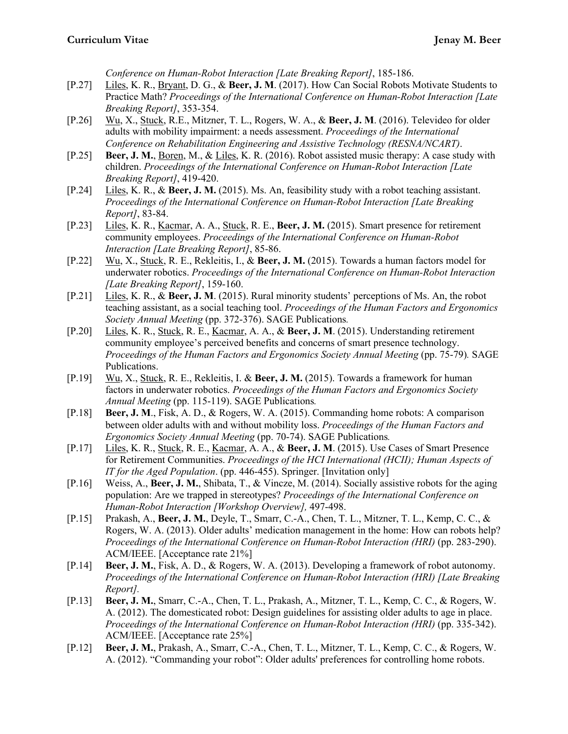*Conference on Human-Robot Interaction [Late Breaking Report]*, 185-186.

- [P.27] Liles, K. R., Bryant, D. G., & **Beer, J. M**. (2017). How Can Social Robots Motivate Students to Practice Math? *Proceedings of the International Conference on Human-Robot Interaction [Late Breaking Report]*, 353-354.
- [P.26] Wu, X., Stuck, R.E., Mitzner, T. L., Rogers, W. A., & **Beer, J. M**. (2016). Televideo for older adults with mobility impairment: a needs assessment. *Proceedings of the International Conference on Rehabilitation Engineering and Assistive Technology (RESNA/NCART)*.
- [P.25] **Beer, J. M.**, Boren, M., & Liles, K. R. (2016). Robot assisted music therapy: A case study with children. *Proceedings of the International Conference on Human-Robot Interaction [Late Breaking Report]*, 419-420.
- [P.24] Liles, K. R., & **Beer, J. M.** (2015). Ms. An, feasibility study with a robot teaching assistant. *Proceedings of the International Conference on Human-Robot Interaction [Late Breaking Report]*, 83-84.
- [P.23] Liles, K. R., Kacmar, A. A., Stuck, R. E., **Beer, J. M.** (2015). Smart presence for retirement community employees. *Proceedings of the International Conference on Human-Robot Interaction [Late Breaking Report]*, 85-86.
- [P.22] Wu, X., Stuck, R. E., Rekleitis, I., & **Beer, J. M.** (2015). Towards a human factors model for underwater robotics. *Proceedings of the International Conference on Human-Robot Interaction [Late Breaking Report]*, 159-160.
- [P.21] Liles, K. R., & **Beer, J. M**. (2015). Rural minority students' perceptions of Ms. An, the robot teaching assistant, as a social teaching tool. *Proceedings of the Human Factors and Ergonomics Society Annual Meeting* (pp. 372-376). SAGE Publications*.*
- [P.20] Liles, K. R., Stuck, R. E., Kacmar, A. A., & **Beer, J. M**. (2015). Understanding retirement community employee's perceived benefits and concerns of smart presence technology. *Proceedings of the Human Factors and Ergonomics Society Annual Meeting* (pp. 75-79)*.* SAGE Publications.
- [P.19] Wu, X., Stuck, R. E., Rekleitis, I. & **Beer, J. M.** (2015). Towards a framework for human factors in underwater robotics. *Proceedings of the Human Factors and Ergonomics Society Annual Meeting* (pp. 115-119). SAGE Publications*.*
- [P.18] **Beer, J. M**., Fisk, A. D., & Rogers, W. A. (2015). Commanding home robots: A comparison between older adults with and without mobility loss. *Proceedings of the Human Factors and Ergonomics Society Annual Meeting* (pp. 70-74). SAGE Publications*.*
- [P.17] Liles, K. R., Stuck, R. E., Kacmar, A. A., & **Beer, J. M**. (2015). Use Cases of Smart Presence for Retirement Communities. *Proceedings of the HCI International (HCII); Human Aspects of IT for the Aged Population*. (pp. 446-455). Springer. [Invitation only]
- [P.16] Weiss, A., **Beer, J. M.**, Shibata, T., & Vincze, M. (2014). Socially assistive robots for the aging population: Are we trapped in stereotypes? *Proceedings of the International Conference on Human-Robot Interaction [Workshop Overview],* 497-498.
- [P.15] Prakash, A., **Beer, J. M.**, Deyle, T., Smarr, C.-A., Chen, T. L., Mitzner, T. L., Kemp, C. C., & Rogers, W. A. (2013). Older adults' medication management in the home: How can robots help? *Proceedings of the International Conference on Human-Robot Interaction (HRI)* (pp. 283-290). ACM/IEEE. [Acceptance rate 21%]
- [P.14] **Beer, J. M.**, Fisk, A. D., & Rogers, W. A. (2013). Developing a framework of robot autonomy. *Proceedings of the International Conference on Human-Robot Interaction (HRI) [Late Breaking Report].*
- [P.13] **Beer, J. M.**, Smarr, C.-A., Chen, T. L., Prakash, A., Mitzner, T. L., Kemp, C. C., & Rogers, W. A. (2012). The domesticated robot: Design guidelines for assisting older adults to age in place. *Proceedings of the International Conference on Human-Robot Interaction (HRI)* (pp. 335-342). ACM/IEEE. [Acceptance rate 25%]
- [P.12] **Beer, J. M.**, Prakash, A., Smarr, C.-A., Chen, T. L., Mitzner, T. L., Kemp, C. C., & Rogers, W. A. (2012). "Commanding your robot": Older adults' preferences for controlling home robots.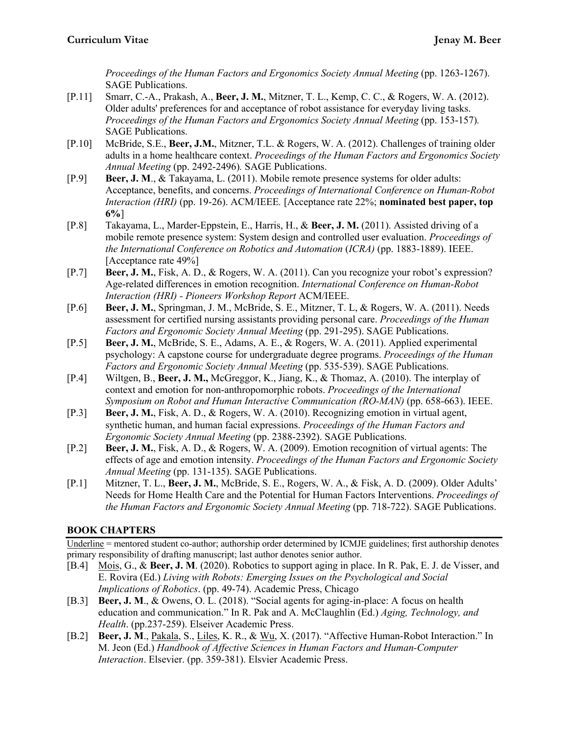*Proceedings of the Human Factors and Ergonomics Society Annual Meeting (pp. 1263-1267).* SAGE Publications.

- [P.11] Smarr, C.-A., Prakash, A., **Beer, J. M.**, Mitzner, T. L., Kemp, C. C., & Rogers, W. A. (2012). Older adults' preferences for and acceptance of robot assistance for everyday living tasks. *Proceedings of the Human Factors and Ergonomics Society Annual Meeting (pp. 153-157).* SAGE Publications.
- [P.10] McBride, S.E., **Beer, J.M.**, Mitzner, T.L. & Rogers, W. A. (2012). Challenges of training older adults in a home healthcare context. *Proceedings of the Human Factors and Ergonomics Society Annual Meeting* (pp. 2492-2496)*.* SAGE Publications.
- [P.9] **Beer, J. M**., & Takayama, L. (2011). Mobile remote presence systems for older adults: Acceptance, benefits, and concerns. *Proceedings of International Conference on Human-Robot Interaction (HRI)* (pp. 19-26). ACM/IEEE*.* [Acceptance rate 22%; **nominated best paper, top 6%**]
- [P.8] Takayama, L., Marder-Eppstein, E., Harris, H., & **Beer, J. M.** (2011). Assisted driving of a mobile remote presence system: System design and controlled user evaluation. *Proceedings of the International Conference on Robotics and Automation* (*ICRA)* (pp. 1883-1889). IEEE. [Acceptance rate 49%]
- [P.7] **Beer, J. M.**, Fisk, A. D., & Rogers, W. A. (2011). Can you recognize your robot's expression? Age-related differences in emotion recognition. *International Conference on Human-Robot Interaction (HRI) - Pioneers Workshop Report* ACM/IEEE.
- [P.6] **Beer, J. M.**, Springman, J. M., McBride, S. E., Mitzner, T. L, & Rogers, W. A. (2011). Needs assessment for certified nursing assistants providing personal care. *Proceedings of the Human Factors and Ergonomic Society Annual Meeting* (pp. 291-295). SAGE Publications.
- [P.5] **Beer, J. M.**, McBride, S. E., Adams, A. E., & Rogers, W. A. (2011). Applied experimental psychology: A capstone course for undergraduate degree programs. *Proceedings of the Human Factors and Ergonomic Society Annual Meeting* (pp. 535-539). SAGE Publications.
- [P.4] Wiltgen, B., **Beer, J. M.,** McGreggor, K., Jiang, K., & Thomaz, A. (2010). The interplay of context and emotion for non-anthropomorphic robots. *Proceedings of the International Symposium on Robot and Human Interactive Communication (RO-MAN)* (pp. 658-663). IEEE.
- [P.3] **Beer, J. M.**, Fisk, A. D., & Rogers, W. A. (2010). Recognizing emotion in virtual agent, synthetic human, and human facial expressions. *Proceedings of the Human Factors and Ergonomic Society Annual Meeting* (pp. 2388-2392). SAGE Publications.
- [P.2] **Beer, J. M.**, Fisk, A. D., & Rogers, W. A. (2009). Emotion recognition of virtual agents: The effects of age and emotion intensity. *Proceedings of the Human Factors and Ergonomic Society Annual Meeting* (pp. 131-135). SAGE Publications.
- [P.1] Mitzner, T. L., **Beer, J. M.**, McBride, S. E., Rogers, W. A., & Fisk, A. D. (2009). Older Adults' Needs for Home Health Care and the Potential for Human Factors Interventions. *Proceedings of the Human Factors and Ergonomic Society Annual Meeting* (pp. 718-722). SAGE Publications.

# **BOOK CHAPTERS**

Underline = mentored student co-author; authorship order determined by ICMJE guidelines; first authorship denotes primary responsibility of drafting manuscript; last author denotes senior author.

- [B.4] Mois, G., & **Beer, J. M**. (2020). Robotics to support aging in place. In R. Pak, E. J. de Visser, and E. Rovira (Ed.) *Living with Robots: Emerging Issues on the Psychological and Social Implications of Robotics*. (pp. 49-74). Academic Press, Chicago
- [B.3] **Beer, J. M**., & Owens, O. L. (2018). "Social agents for aging-in-place: A focus on health education and communication." In R. Pak and A. McClaughlin (Ed.) *Aging, Technology, and Health*. (pp.237-259). Elseiver Academic Press.
- [B.2] **Beer, J. M**., Pakala, S., Liles, K. R., & Wu, X. (2017). "Affective Human-Robot Interaction." In M. Jeon (Ed.) *Handbook of Affective Sciences in Human Factors and Human-Computer Interaction*. Elsevier. (pp. 359-381). Elsvier Academic Press.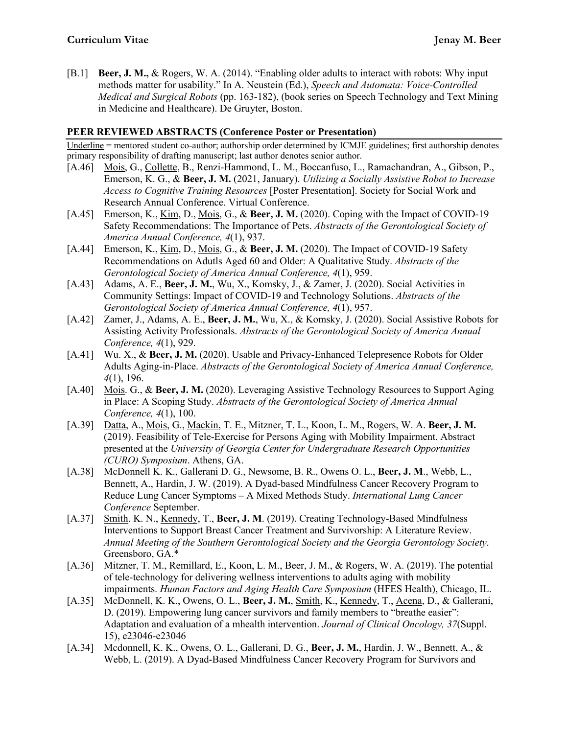[B.1] **Beer, J. M.,** & Rogers, W. A. (2014). "Enabling older adults to interact with robots: Why input methods matter for usability." In A. Neustein (Ed.), *Speech and Automata: Voice-Controlled Medical and Surgical Robots* (pp. 163-182), (book series on Speech Technology and Text Mining in Medicine and Healthcare). De Gruyter, Boston.

# **PEER REVIEWED ABSTRACTS (Conference Poster or Presentation)**

Underline = mentored student co-author; authorship order determined by ICMJE guidelines; first authorship denotes primary responsibility of drafting manuscript; last author denotes senior author.

- [A.46] Mois, G., Collette, B., Renzi-Hammond, L. M., Boccanfuso, L., Ramachandran, A., Gibson, P., Emerson, K. G., & **Beer, J. M.** (2021, January). *Utilizing a Socially Assistive Robot to Increase Access to Cognitive Training Resources* [Poster Presentation]. Society for Social Work and Research Annual Conference. Virtual Conference.
- [A.45] Emerson, K., Kim, D., Mois, G., & **Beer, J. M.** (2020). Coping with the Impact of COVID-19 Safety Recommendations: The Importance of Pets. *Abstracts of the Gerontological Society of America Annual Conference, 4*(1), 937.
- [A.44] Emerson, K., Kim, D., Mois, G., & **Beer, J. M.** (2020). The Impact of COVID-19 Safety Recommendations on Adutls Aged 60 and Older: A Qualitative Study. *Abstracts of the Gerontological Society of America Annual Conference, 4*(1), 959.
- [A.43] Adams, A. E., **Beer, J. M.**, Wu, X., Komsky, J., & Zamer, J. (2020). Social Activities in Community Settings: Impact of COVID-19 and Technology Solutions. *Abstracts of the Gerontological Society of America Annual Conference, 4*(1), 957.
- [A.42] Zamer, J., Adams, A. E., **Beer, J. M.**, Wu, X., & Komsky, J. (2020). Social Assistive Robots for Assisting Activity Professionals. *Abstracts of the Gerontological Society of America Annual Conference, 4*(1), 929.
- [A.41] Wu. X., & **Beer, J. M.** (2020). Usable and Privacy-Enhanced Telepresence Robots for Older Adults Aging-in-Place. *Abstracts of the Gerontological Society of America Annual Conference, 4*(1), 196.
- [A.40] Mois. G., & **Beer, J. M.** (2020). Leveraging Assistive Technology Resources to Support Aging in Place: A Scoping Study. *Abstracts of the Gerontological Society of America Annual Conference, 4*(1), 100.
- [A.39] Datta, A., Mois, G., Mackin, T. E., Mitzner, T. L., Koon, L. M., Rogers, W. A. **Beer, J. M.** (2019). Feasibility of Tele-Exercise for Persons Aging with Mobility Impairment. Abstract presented at the *University of Georgia Center for Undergraduate Research Opportunities (CURO) Symposium*. Athens, GA.
- [A.38] McDonnell K. K., Gallerani D. G., Newsome, B. R., Owens O. L., **Beer, J. M**., Webb, L., Bennett, A., Hardin, J. W. (2019). A Dyad-based Mindfulness Cancer Recovery Program to Reduce Lung Cancer Symptoms – A Mixed Methods Study. *International Lung Cancer Conference* September.
- [A.37] Smith. K. N., Kennedy, T., **Beer, J. M**. (2019). Creating Technology-Based Mindfulness Interventions to Support Breast Cancer Treatment and Survivorship: A Literature Review. *Annual Meeting of the Southern Gerontological Society and the Georgia Gerontology Society*. Greensboro, GA.\*
- [A.36] Mitzner, T. M., Remillard, E., Koon, L. M., Beer, J. M., & Rogers, W. A. (2019). The potential of tele-technology for delivering wellness interventions to adults aging with mobility impairments. *Human Factors and Aging Health Care Symposium* (HFES Health), Chicago, IL.
- [A.35] McDonnell, K. K., Owens, O. L., **Beer, J. M.**, Smith, K., Kennedy, T., Acena, D., & Gallerani, D. (2019). Empowering lung cancer survivors and family members to "breathe easier": Adaptation and evaluation of a mhealth intervention. *Journal of Clinical Oncology, 37*(Suppl. 15), e23046-e23046
- [A.34] Mcdonnell, K. K., Owens, O. L., Gallerani, D. G., **Beer, J. M.**, Hardin, J. W., Bennett, A., & Webb, L. (2019). A Dyad-Based Mindfulness Cancer Recovery Program for Survivors and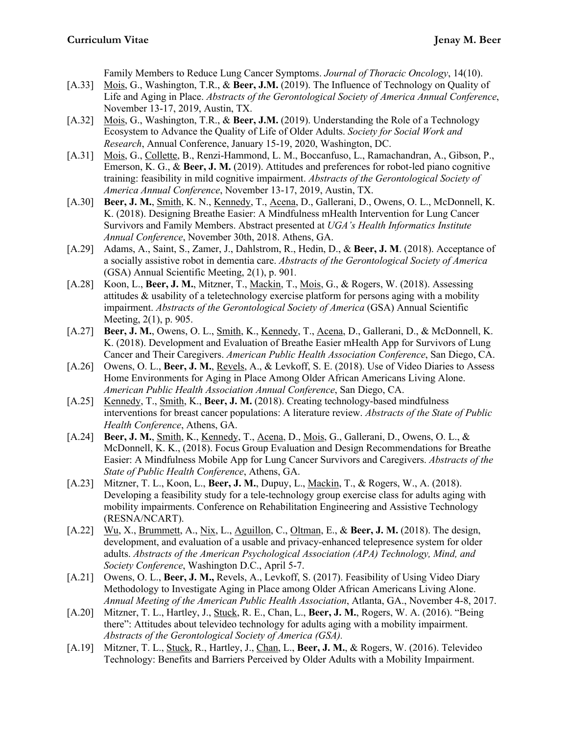Family Members to Reduce Lung Cancer Symptoms. *Journal of Thoracic Oncology*, 14(10).

- [A.33] Mois, G., Washington, T.R., & **Beer, J.M.** (2019). The Influence of Technology on Quality of Life and Aging in Place. *Abstracts of the Gerontological Society of America Annual Conference*, November 13-17, 2019, Austin, TX.
- [A.32] Mois, G., Washington, T.R., & **Beer, J.M.** (2019). Understanding the Role of a Technology Ecosystem to Advance the Quality of Life of Older Adults. *Society for Social Work and Research*, Annual Conference, January 15-19, 2020, Washington, DC.
- [A.31] Mois, G., Collette, B., Renzi-Hammond, L. M., Boccanfuso, L., Ramachandran, A., Gibson, P., Emerson, K. G., & **Beer, J. M.** (2019). Attitudes and preferences for robot-led piano cognitive training: feasibility in mild cognitive impairment. *Abstracts of the Gerontological Society of America Annual Conference*, November 13-17, 2019, Austin, TX.
- [A.30] **Beer, J. M.**, Smith, K. N., Kennedy, T., Acena, D., Gallerani, D., Owens, O. L., McDonnell, K. K. (2018). Designing Breathe Easier: A Mindfulness mHealth Intervention for Lung Cancer Survivors and Family Members. Abstract presented at *UGA's Health Informatics Institute Annual Conference*, November 30th, 2018. Athens, GA.
- [A.29] Adams, A., Saint, S., Zamer, J., Dahlstrom, R., Hedin, D., & **Beer, J. M**. (2018). Acceptance of a socially assistive robot in dementia care. *Abstracts of the Gerontological Society of America* (GSA) Annual Scientific Meeting, 2(1), p. 901*.*
- [A.28] Koon, L., **Beer, J. M.**, Mitzner, T., Mackin, T., Mois, G., & Rogers, W. (2018). Assessing attitudes & usability of a teletechnology exercise platform for persons aging with a mobility impairment. *Abstracts of the Gerontological Society of America* (GSA) Annual Scientific Meeting, 2(1), p. 905.
- [A.27] **Beer, J. M.**, Owens, O. L., Smith, K., Kennedy, T., Acena, D., Gallerani, D., & McDonnell, K. K. (2018). Development and Evaluation of Breathe Easier mHealth App for Survivors of Lung Cancer and Their Caregivers. *American Public Health Association Conference*, San Diego, CA.
- [A.26] Owens, O. L., Beer, J. M., Revels, A., & Levkoff, S. E. (2018). Use of Video Diaries to Assess Home Environments for Aging in Place Among Older African Americans Living Alone. *American Public Health Association Annual Conference*, San Diego, CA.
- [A.25] Kennedy, T., Smith, K., **Beer, J. M.** (2018). Creating technology-based mindfulness interventions for breast cancer populations: A literature review. *Abstracts of the State of Public Health Conference*, Athens, GA.
- [A.24] **Beer, J. M.**, Smith, K., Kennedy, T., Acena, D., Mois, G., Gallerani, D., Owens, O. L., & McDonnell, K. K., (2018). Focus Group Evaluation and Design Recommendations for Breathe Easier: A Mindfulness Mobile App for Lung Cancer Survivors and Caregivers. *Abstracts of the State of Public Health Conference*, Athens, GA.
- [A.23] Mitzner, T. L., Koon, L., **Beer, J. M.**, Dupuy, L., Mackin, T., & Rogers, W., A. (2018). Developing a feasibility study for a tele-technology group exercise class for adults aging with mobility impairments. Conference on Rehabilitation Engineering and Assistive Technology (RESNA/NCART).
- [A.22] Wu, X., Brummett, A., Nix, L., Aguillon, C., Oltman, E., & **Beer, J. M.** (2018). The design, development, and evaluation of a usable and privacy-enhanced telepresence system for older adults. *Abstracts of the American Psychological Association (APA) Technology, Mind, and Society Conference*, Washington D.C., April 5-7.
- [A.21] Owens, O. L., **Beer, J. M.,** Revels, A., Levkoff, S. (2017). Feasibility of Using Video Diary Methodology to Investigate Aging in Place among Older African Americans Living Alone. *Annual Meeting of the American Public Health Association*, Atlanta, GA., November 4-8, 2017.
- [A.20] Mitzner, T. L., Hartley, J., Stuck, R. E., Chan, L., **Beer, J. M.**, Rogers, W. A. (2016). "Being there": Attitudes about televideo technology for adults aging with a mobility impairment. *Abstracts of the Gerontological Society of America (GSA).*
- [A.19] Mitzner, T. L., Stuck, R., Hartley, J., Chan, L., **Beer, J. M.**, & Rogers, W. (2016). Televideo Technology: Benefits and Barriers Perceived by Older Adults with a Mobility Impairment.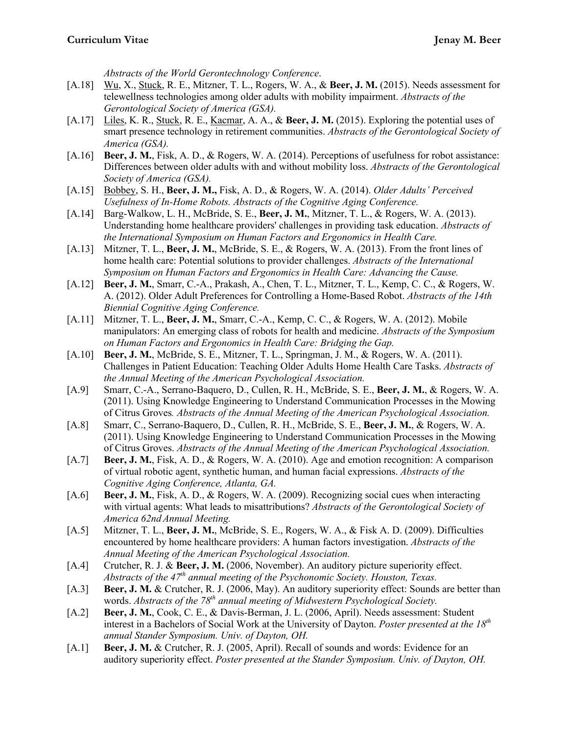*Abstracts of the World Gerontechnology Conference*.

- [A.18] Wu, X., Stuck, R. E., Mitzner, T. L., Rogers, W. A., & **Beer, J. M.** (2015). Needs assessment for telewellness technologies among older adults with mobility impairment. *Abstracts of the Gerontological Society of America (GSA).*
- [A.17] Liles, K. R., Stuck, R. E., Kacmar, A. A., & **Beer, J. M.** (2015). Exploring the potential uses of smart presence technology in retirement communities. *Abstracts of the Gerontological Society of America (GSA).*
- [A.16] **Beer, J. M.**, Fisk, A. D., & Rogers, W. A. (2014). Perceptions of usefulness for robot assistance: Differences between older adults with and without mobility loss. *Abstracts of the Gerontological Society of America (GSA).*
- [A.15] Bobbey, S. H., **Beer, J. M.,** Fisk, A. D., & Rogers, W. A. (2014). *Older Adults' Perceived Usefulness of In-Home Robots. Abstracts of the Cognitive Aging Conference.*
- [A.14] Barg-Walkow, L. H., McBride, S. E., **Beer, J. M.**, Mitzner, T. L., & Rogers, W. A. (2013). Understanding home healthcare providers' challenges in providing task education. *Abstracts of the International Symposium on Human Factors and Ergonomics in Health Care.*
- [A.13] Mitzner, T. L., **Beer, J. M.**, McBride, S. E., & Rogers, W. A. (2013). From the front lines of home health care: Potential solutions to provider challenges. *Abstracts of the International Symposium on Human Factors and Ergonomics in Health Care: Advancing the Cause.*
- [A.12] **Beer, J. M.**, Smarr, C.-A., Prakash, A., Chen, T. L., Mitzner, T. L., Kemp, C. C., & Rogers, W. A. (2012). Older Adult Preferences for Controlling a Home-Based Robot. *Abstracts of the 14th Biennial Cognitive Aging Conference.*
- [A.11] Mitzner, T. L., **Beer, J. M.**, Smarr, C.-A., Kemp, C. C., & Rogers, W. A. (2012). Mobile manipulators: An emerging class of robots for health and medicine. *Abstracts of the Symposium on Human Factors and Ergonomics in Health Care: Bridging the Gap.*
- [A.10] **Beer, J. M.**, McBride, S. E., Mitzner, T. L., Springman, J. M., & Rogers, W. A. (2011). Challenges in Patient Education: Teaching Older Adults Home Health Care Tasks. *Abstracts of the Annual Meeting of the American Psychological Association.*
- [A.9] Smarr, C.-A., Serrano-Baquero, D., Cullen, R. H., McBride, S. E., **Beer, J. M.**, & Rogers, W. A. (2011). Using Knowledge Engineering to Understand Communication Processes in the Mowing of Citrus Groves*. Abstracts of the Annual Meeting of the American Psychological Association.*
- [A.8] Smarr, C., Serrano-Baquero, D., Cullen, R. H., McBride, S. E., **Beer, J. M.**, & Rogers, W. A. (2011). Using Knowledge Engineering to Understand Communication Processes in the Mowing of Citrus Groves. *Abstracts of the Annual Meeting of the American Psychological Association.*
- [A.7] **Beer, J. M.**, Fisk, A. D., & Rogers, W. A. (2010). Age and emotion recognition: A comparison of virtual robotic agent, synthetic human, and human facial expressions. *Abstracts of the Cognitive Aging Conference, Atlanta, GA.*
- [A.6] **Beer, J. M.**, Fisk, A. D., & Rogers, W. A. (2009). Recognizing social cues when interacting with virtual agents: What leads to misattributions? *Abstracts of the Gerontological Society of America 62nd Annual Meeting.*
- [A.5] Mitzner, T. L., **Beer, J. M.**, McBride, S. E., Rogers, W. A., & Fisk A. D. (2009). Difficulties encountered by home healthcare providers: A human factors investigation. *Abstracts of the Annual Meeting of the American Psychological Association.*
- [A.4] Crutcher, R. J. & **Beer, J. M.** (2006, November). An auditory picture superiority effect. *Abstracts of the 47th annual meeting of the Psychonomic Society. Houston, Texas.*
- [A.3] **Beer, J. M. &** Crutcher, R. J. (2006, May). An auditory superiority effect: Sounds are better than words. *Abstracts of the 78th annual meeting of Midwestern Psychological Society.*
- [A.2] **Beer, J. M.**, Cook, C. E., & Davis-Berman, J. L. (2006, April). Needs assessment: Student interest in a Bachelors of Social Work at the University of Dayton. *Poster presented at the 18th annual Stander Symposium. Univ. of Dayton, OH.*
- [A.1] **Beer, J. M.** & Crutcher, R. J. (2005, April). Recall of sounds and words: Evidence for an auditory superiority effect. *Poster presented at the Stander Symposium. Univ. of Dayton, OH.*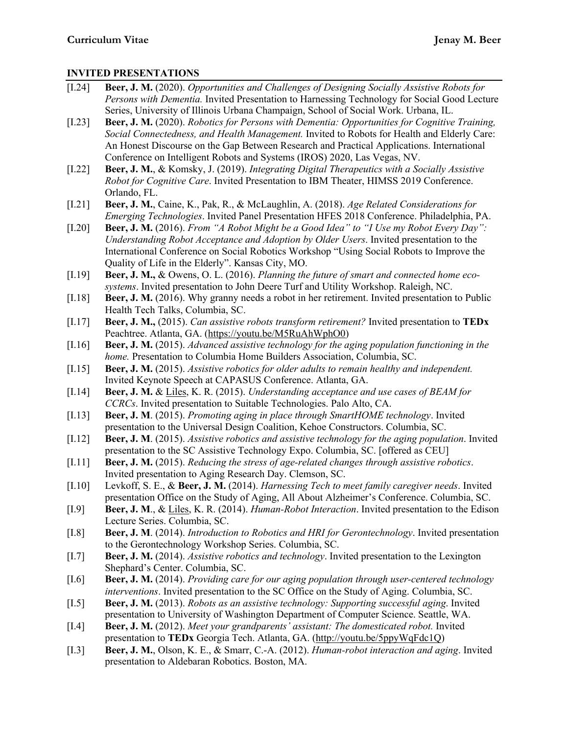# **INVITED PRESENTATIONS**

| $[I.24]$ | Beer, J. M. (2020). Opportunities and Challenges of Designing Socially Assistive Robots for<br>Persons with Dementia. Invited Presentation to Harnessing Technology for Social Good Lecture<br>Series, University of Illinois Urbana Champaign, School of Social Work. Urbana, IL.                                                                                    |
|----------|-----------------------------------------------------------------------------------------------------------------------------------------------------------------------------------------------------------------------------------------------------------------------------------------------------------------------------------------------------------------------|
| $[1.23]$ | Beer, J. M. (2020). Robotics for Persons with Dementia: Opportunities for Cognitive Training,<br>Social Connectedness, and Health Management. Invited to Robots for Health and Elderly Care:<br>An Honest Discourse on the Gap Between Research and Practical Applications. International<br>Conference on Intelligent Robots and Systems (IROS) 2020, Las Vegas, NV. |
| $[1.22]$ | Beer, J. M., & Komsky, J. (2019). Integrating Digital Therapeutics with a Socially Assistive<br>Robot for Cognitive Care. Invited Presentation to IBM Theater, HIMSS 2019 Conference.<br>Orlando, FL.                                                                                                                                                                 |
| $[1.21]$ | Beer, J. M., Caine, K., Pak, R., & McLaughlin, A. (2018). Age Related Considerations for<br>Emerging Technologies. Invited Panel Presentation HFES 2018 Conference. Philadelphia, PA.                                                                                                                                                                                 |
| $[1.20]$ | Beer, J. M. (2016). From "A Robot Might be a Good Idea" to "I Use my Robot Every Day":<br>Understanding Robot Acceptance and Adoption by Older Users. Invited presentation to the<br>International Conference on Social Robotics Workshop "Using Social Robots to Improve the<br>Quality of Life in the Elderly". Kansas City, MO.                                    |
| $[1.19]$ | Beer, J. M., & Owens, O. L. (2016). Planning the future of smart and connected home eco-<br>systems. Invited presentation to John Deere Turf and Utility Workshop. Raleigh, NC.                                                                                                                                                                                       |
| $[1.18]$ | Beer, J. M. (2016). Why granny needs a robot in her retirement. Invited presentation to Public<br>Health Tech Talks, Columbia, SC.                                                                                                                                                                                                                                    |
| $[1.17]$ | Beer, J. M., (2015). Can assistive robots transform retirement? Invited presentation to TEDx<br>Peachtree. Atlanta, GA. (https://youtu.be/M5RuAhWphO0)                                                                                                                                                                                                                |
| $[1.16]$ | Beer, J. M. (2015). Advanced assistive technology for the aging population functioning in the<br>home. Presentation to Columbia Home Builders Association, Columbia, SC.                                                                                                                                                                                              |
| [I.15]   | Beer, J. M. (2015). Assistive robotics for older adults to remain healthy and independent.<br>Invited Keynote Speech at CAPASUS Conference. Atlanta, GA.                                                                                                                                                                                                              |
| $[1.14]$ | Beer, J. M. & Liles, K. R. (2015). Understanding acceptance and use cases of BEAM for<br>CCRCs. Invited presentation to Suitable Technologies. Palo Alto, CA.                                                                                                                                                                                                         |
| $[1.13]$ | Beer, J. M. (2015). Promoting aging in place through SmartHOME technology. Invited<br>presentation to the Universal Design Coalition, Kehoe Constructors. Columbia, SC.                                                                                                                                                                                               |
| $[1.12]$ | Beer, J. M. (2015). Assistive robotics and assistive technology for the aging population. Invited<br>presentation to the SC Assistive Technology Expo. Columbia, SC. [offered as CEU]                                                                                                                                                                                 |
| $[1.11]$ | Beer, J. M. (2015). Reducing the stress of age-related changes through assistive robotics.<br>Invited presentation to Aging Research Day. Clemson, SC.                                                                                                                                                                                                                |
| [I.10]   | Levkoff, S. E., & Beer, J. M. (2014). Harnessing Tech to meet family caregiver needs. Invited<br>presentation Office on the Study of Aging, All About Alzheimer's Conference. Columbia, SC.                                                                                                                                                                           |
| [I.9]    | Beer, J. M., & Liles, K. R. (2014). <i>Human-Robot Interaction</i> . Invited presentation to the Edison<br>Lecture Series. Columbia, SC.                                                                                                                                                                                                                              |
| [I.8]    | Beer, J. M. (2014). Introduction to Robotics and HRI for Gerontechnology. Invited presentation<br>to the Gerontechnology Workshop Series. Columbia, SC.                                                                                                                                                                                                               |
| [I.7]    | Beer, J. M. (2014). Assistive robotics and technology. Invited presentation to the Lexington<br>Shephard's Center. Columbia, SC.                                                                                                                                                                                                                                      |
| [I.6]    | Beer, J. M. (2014). Providing care for our aging population through user-centered technology<br>interventions. Invited presentation to the SC Office on the Study of Aging. Columbia, SC.                                                                                                                                                                             |
| [I.5]    | Beer, J. M. (2013). Robots as an assistive technology: Supporting successful aging. Invited<br>presentation to University of Washington Department of Computer Science. Seattle, WA.                                                                                                                                                                                  |
| [I.4]    | Beer, J. M. (2012). Meet your grandparents' assistant: The domesticated robot. Invited                                                                                                                                                                                                                                                                                |
| [I.3]    | presentation to TEDx Georgia Tech. Atlanta, GA. (http://youtu.be/5ppyWqFdc1Q)<br>Beer, J. M., Olson, K. E., & Smarr, C.-A. (2012). Human-robot interaction and aging. Invited<br>presentation to Aldebaran Robotics. Boston, MA.                                                                                                                                      |
|          |                                                                                                                                                                                                                                                                                                                                                                       |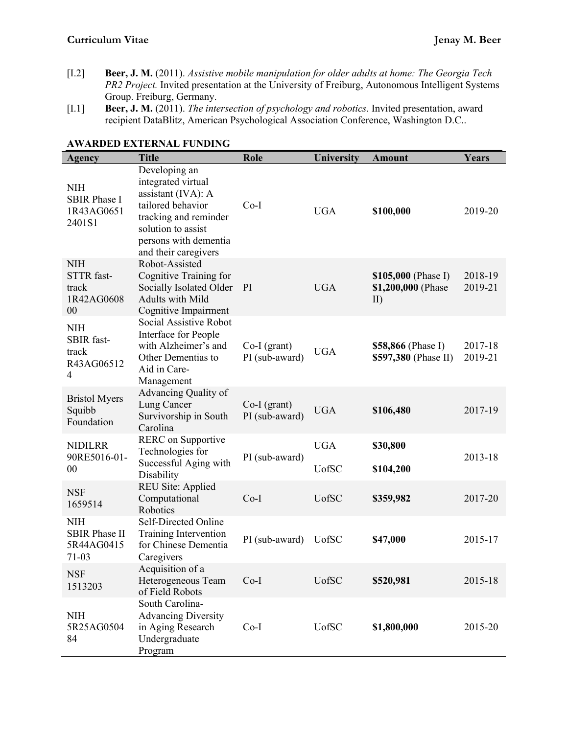- [I.2] **Beer, J. M.** (2011). *Assistive mobile manipulation for older adults at home: The Georgia Tech PR2 Project.* Invited presentation at the University of Freiburg, Autonomous Intelligent Systems Group. Freiburg, Germany.
- [I.1] **Beer, J. M.** (2011). *The intersection of psychology and robotics*. Invited presentation, award recipient DataBlitz, American Psychological Association Conference, Washington D.C..

| Agency                                                    | <b>Title</b>                                                                                                                                                                   | <b>Role</b>                    | University                  | <b>Amount</b>                                          | Years              |
|-----------------------------------------------------------|--------------------------------------------------------------------------------------------------------------------------------------------------------------------------------|--------------------------------|-----------------------------|--------------------------------------------------------|--------------------|
| <b>NIH</b><br><b>SBIR Phase I</b><br>1R43AG0651<br>2401S1 | Developing an<br>integrated virtual<br>assistant (IVA): A<br>tailored behavior<br>tracking and reminder<br>solution to assist<br>persons with dementia<br>and their caregivers | $Co-I$                         | <b>UGA</b>                  | \$100,000                                              | 2019-20            |
| <b>NIH</b><br>STTR fast-<br>track<br>1R42AG0608<br>00     | Robot-Assisted<br>Cognitive Training for<br>Socially Isolated Older<br>Adults with Mild<br>Cognitive Impairment                                                                | PI                             | <b>UGA</b>                  | \$105,000 (Phase I)<br>\$1,200,000 (Phase<br>$\rm II)$ | 2018-19<br>2019-21 |
| <b>NIH</b><br>SBIR fast-<br>track<br>R43AG06512<br>4      | Social Assistive Robot<br>Interface for People<br>with Alzheimer's and<br>Other Dementias to<br>Aid in Care-<br>Management                                                     | Co-I (grant)<br>PI (sub-award) | <b>UGA</b>                  | \$58,866 (Phase I)<br>\$597,380 (Phase II)             | 2017-18<br>2019-21 |
| <b>Bristol Myers</b><br>Squibb<br>Foundation              | Advancing Quality of<br>Lung Cancer<br>Survivorship in South<br>Carolina                                                                                                       | Co-I (grant)<br>PI (sub-award) | <b>UGA</b>                  | \$106,480                                              | 2017-19            |
| <b>NIDILRR</b><br>90RE5016-01-<br>00                      | RERC on Supportive<br>Technologies for<br>Successful Aging with<br>Disability                                                                                                  | PI (sub-award)                 | <b>UGA</b><br><b>U</b> ofSC | \$30,800<br>\$104,200                                  | 2013-18            |
| <b>NSF</b><br>1659514                                     | <b>REU Site: Applied</b><br>Computational<br>Robotics                                                                                                                          | $Co-I$                         | <b>U</b> ofSC               | \$359,982                                              | 2017-20            |
| <b>NIH</b><br><b>SBIR Phase II</b><br>5R44AG0415<br>71-03 | Self-Directed Online<br>Training Intervention<br>for Chinese Dementia<br>Caregivers                                                                                            | PI (sub-award)                 | <b>UofSC</b>                | \$47,000                                               | 2015-17            |
| <b>NSF</b><br>1513203                                     | Acquisition of a<br>Heterogeneous Team<br>of Field Robots                                                                                                                      | $Co-I$                         | <b>UofSC</b>                | \$520,981                                              | 2015-18            |
| <b>NIH</b><br>5R25AG0504<br>84                            | South Carolina-<br><b>Advancing Diversity</b><br>in Aging Research<br>Undergraduate<br>Program                                                                                 | $Co-I$                         | <b>UofSC</b>                | \$1,800,000                                            | 2015-20            |

### **AWARDED EXTERNAL FUNDING**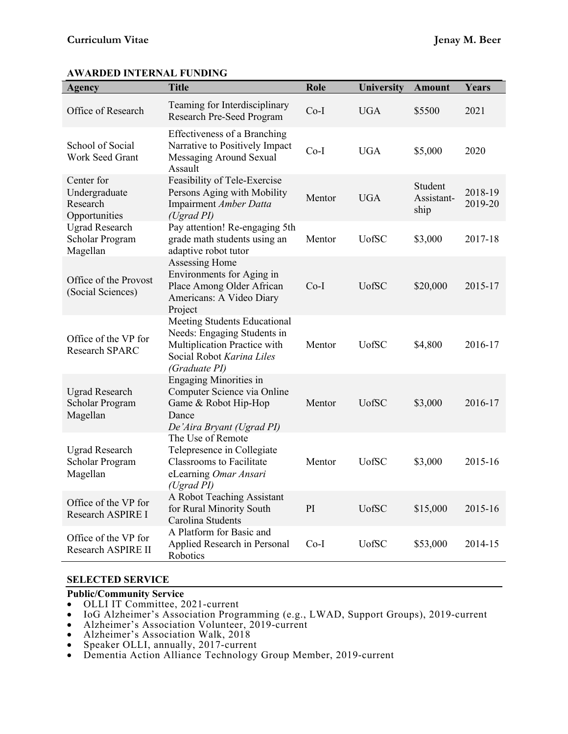| <b>Agency</b>                                            | <b>Title</b>                                                                                                                              | Role   | <b>University</b> | <b>Amount</b>                 | Years              |
|----------------------------------------------------------|-------------------------------------------------------------------------------------------------------------------------------------------|--------|-------------------|-------------------------------|--------------------|
| Office of Research                                       | Teaming for Interdisciplinary<br>Research Pre-Seed Program                                                                                | $Co-I$ | <b>UGA</b>        | \$5500                        | 2021               |
| School of Social<br>Work Seed Grant                      | <b>Effectiveness of a Branching</b><br>Narrative to Positively Impact<br>Messaging Around Sexual<br>Assault                               | $Co-I$ | <b>UGA</b>        | \$5,000                       | 2020               |
| Center for<br>Undergraduate<br>Research<br>Opportunities | Feasibility of Tele-Exercise<br>Persons Aging with Mobility<br>Impairment Amber Datta<br>(Ugrad PI)                                       | Mentor | <b>UGA</b>        | Student<br>Assistant-<br>ship | 2018-19<br>2019-20 |
| <b>Ugrad Research</b><br>Scholar Program<br>Magellan     | Pay attention! Re-engaging 5th<br>grade math students using an<br>adaptive robot tutor                                                    | Mentor | <b>U</b> ofSC     | \$3,000                       | 2017-18            |
| Office of the Provost<br>(Social Sciences)               | Assessing Home<br>Environments for Aging in<br>Place Among Older African<br>Americans: A Video Diary<br>Project                           | $Co-I$ | <b>UofSC</b>      | \$20,000                      | 2015-17            |
| Office of the VP for<br>Research SPARC                   | Meeting Students Educational<br>Needs: Engaging Students in<br>Multiplication Practice with<br>Social Robot Karina Liles<br>(Graduate PI) | Mentor | <b>UofSC</b>      | \$4,800                       | 2016-17            |
| <b>Ugrad Research</b><br>Scholar Program<br>Magellan     | <b>Engaging Minorities in</b><br>Computer Science via Online<br>Game & Robot Hip-Hop<br>Dance<br>De'Aira Bryant (Ugrad PI)                | Mentor | <b>UofSC</b>      | \$3,000                       | 2016-17            |
| <b>Ugrad Research</b><br>Scholar Program<br>Magellan     | The Use of Remote<br>Telepresence in Collegiate<br><b>Classrooms to Facilitate</b><br>eLearning Omar Ansari<br>(Ugrad PI)                 | Mentor | <b>UofSC</b>      | \$3,000                       | 2015-16            |
| Office of the VP for<br>Research ASPIRE I                | A Robot Teaching Assistant<br>for Rural Minority South<br>Carolina Students                                                               | PI     | <b>UofSC</b>      | \$15,000                      | 2015-16            |
| Office of the VP for<br>Research ASPIRE II               | A Platform for Basic and<br>Applied Research in Personal<br>Robotics                                                                      | $Co-I$ | <b>UofSC</b>      | \$53,000                      | 2014-15            |

# **AWARDED INTERNAL FUNDING**

### **SELECTED SERVICE**

# **Public/Community Service**

- 
- OLLI IT Committee, 2021-current<br>• IoG Alzheimer's Association Programming (e.g., LWAD, Support Groups), 2019-current
- Alzheimer's Association Volunteer, 2019-current Alzheimer's Association Walk, 2018
- 
- Speaker OLLI, annually, 2017-current
- Dementia Action Alliance Technology Group Member, 2019-current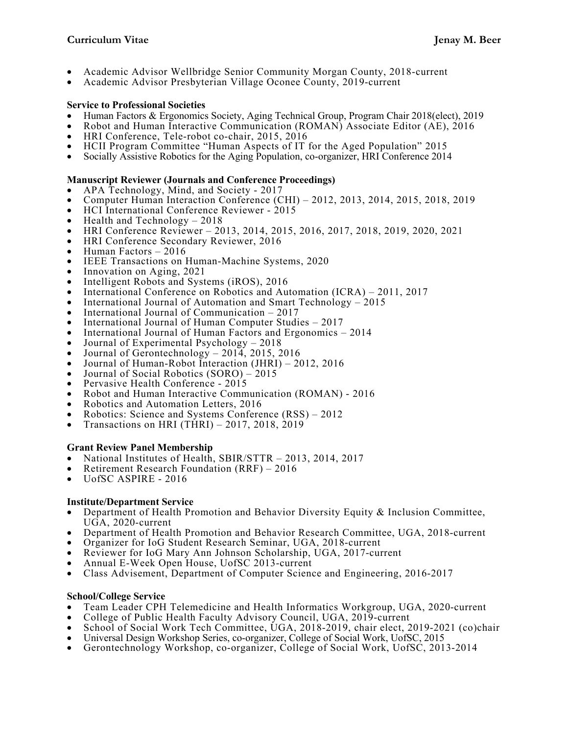- Academic Advisor Wellbridge Senior Community Morgan County, 2018-current
- Academic Advisor Presbyterian Village Oconee County, 2019-current

- Service to Professional Societies<br>• Human Factors & Ergonomics Society, Aging Technical Group, Program Chair 2018(elect), 2019
- Robot and Human Interactive Communication (ROMAN) Associate Editor (AE), 2016<br>HRI Conference, Tele-robot co-chair, 2015, 2016<br>HCII Program Committee "Human Aspects of IT for the Aged Population" 2015<br>Socially Assistive Rob
- 
- 
- 

# **Manuscript Reviewer (Journals and Conference Proceedings)**

- 
- Computer Human Interaction Conference (CHI) 2012, 2013, 2014, 2015, 2018, 2019
- 
- 
- HCI International Conference Reviewer <sup>2015</sup> Health and Technology <sup>2018</sup> HRI Conference Reviewer 2013, 2014, 2015, 2016, 2017, 2018, 2019, 2020, 2021
- HRI Conference Secondary Reviewer, 2016 Human Factors <sup>2016</sup>
- 
- IEEE Transactions on Human-Machine Systems, 2020
- 
- Innovation on Aging, 2021<br>Intelligent Robots and Systems (iROS), 2016
- International Conference on Robotics and Automation (ICRA) 2011, 2017
- International Journal of Automation and Smart Technology 2015<br>• International Journal of Communication 2017
- 
- 
- International Journal of Human Computer Studies 2017<br>• International Journal of Human Factors and Ergonomics 2014
- Journal of Experimental Psychology 2018
- Journal of Gerontechnology  $2014$ ,  $2015$ ,  $2016$
- Journal of Human-Robot Interaction (JHRI) 2012, 2016<br>• Journal of Social Robotics (SORO) 2015
- 
- Pervasive Health Conference 2015
- Robot and Human Interactive Communication (ROMAN) <sup>2016</sup> Robotics and Automation Letters, 2016
- 
- Robotics: Science and Systems Conference (RSS) <sup>2012</sup> Transactions on HRI (THRI) 2017, 2018, 2019
- 

### **Grant Review Panel Membership**

- National Institutes of Health, SBIR/STTR 2013, 2014, 2017
- Retirement Research Foundation (RRF) <sup>2016</sup> UofSC ASPIRE <sup>2016</sup>
- 

# **Institute/Department Service**

- Department of Health Promotion and Behavior Diversity Equity & Inclusion Committee, UGA, 2020-current
- Department of Health Promotion and Behavior Research Committee, UGA, 2018-current
- Organizer for IoG Student Research Seminar, UGA, 2018-current
- Reviewer for IoG Mary Ann Johnson Scholarship, UGA, 2017-current<br>Annual E-Week Open House, UofSC 2013-current
- 
- Class Advisement, Department of Computer Science and Engineering, 2016-2017

# **School/College Service**

- Team Leader CPH Telemedicine and Health Informatics Workgroup, UGA, 2020-current College of Public Health Faculty Advisory Council, UGA, 2019-current
- 
- School of Social Work Tech Committee, UGA, 2018-2019, chair elect, 2019-2021 (co)chair<br>• Universal Design Workshop Series, co-organizer, College of Social Work, UofSC, 2015
- 
- Gerontechnology Workshop, co-organizer, College of Social Work, UofSC, 2013-2014